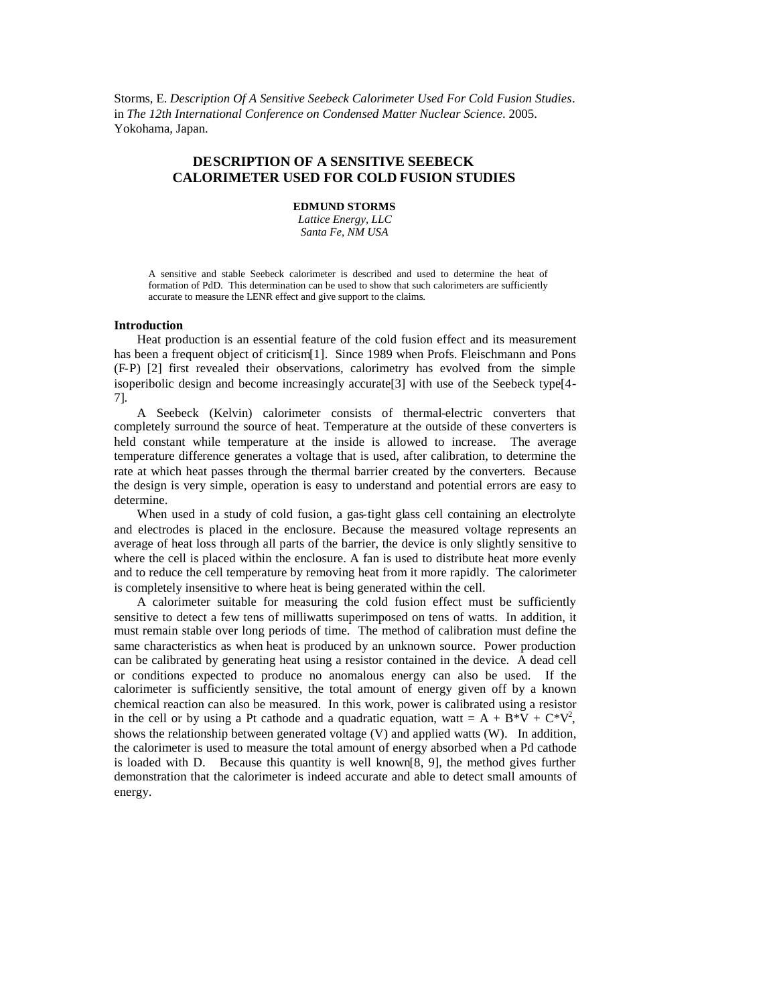Storms, E. *Description Of A Sensitive Seebeck Calorimeter Used For Cold Fusion Studies*. in *The 12th International Conference on Condensed Matter Nuclear Science*. 2005. Yokohama, Japan.

# **DESCRIPTION OF A SENSITIVE SEEBECK CALORIMETER USED FOR COLD FUSION STUDIES**

#### **EDMUND STORMS**

*Lattice Energy, LLC Santa Fe, NM USA*

A sensitive and stable Seebeck calorimeter is described and used to determine the heat of formation of PdD. This determination can be used to show that such calorimeters are sufficiently accurate to measure the LENR effect and give support to the claims.

## **Introduction**

Heat production is an essential feature of the cold fusion effect and its measurement has been a frequent object of criticism<sup>[1]</sup>. Since 1989 when Profs. Fleischmann and Pons (F-P) [2] first revealed their observations, calorimetry has evolved from the simple isoperibolic design and become increasingly accurate[3] with use of the Seebeck type[4- 7].

A Seebeck (Kelvin) calorimeter consists of thermal-electric converters that completely surround the source of heat. Temperature at the outside of these converters is held constant while temperature at the inside is allowed to increase. The average temperature difference generates a voltage that is used, after calibration, to determine the rate at which heat passes through the thermal barrier created by the converters. Because the design is very simple, operation is easy to understand and potential errors are easy to determine.

When used in a study of cold fusion, a gas-tight glass cell containing an electrolyte and electrodes is placed in the enclosure. Because the measured voltage represents an average of heat loss through all parts of the barrier, the device is only slightly sensitive to where the cell is placed within the enclosure. A fan is used to distribute heat more evenly and to reduce the cell temperature by removing heat from it more rapidly. The calorimeter is completely insensitive to where heat is being generated within the cell.

A calorimeter suitable for measuring the cold fusion effect must be sufficiently sensitive to detect a few tens of milliwatts superimposed on tens of watts. In addition, it must remain stable over long periods of time. The method of calibration must define the same characteristics as when heat is produced by an unknown source. Power production can be calibrated by generating heat using a resistor contained in the device. A dead cell or conditions expected to produce no anomalous energy can also be used. If the calorimeter is sufficiently sensitive, the total amount of energy given off by a known chemical reaction can also be measured. In this work, power is calibrated using a resistor in the cell or by using a Pt cathode and a quadratic equation, watt =  $A + B^*V + C^*V^2$ , shows the relationship between generated voltage (V) and applied watts (W). In addition, the calorimeter is used to measure the total amount of energy absorbed when a Pd cathode is loaded with D. Because this quantity is well known[8, 9], the method gives further demonstration that the calorimeter is indeed accurate and able to detect small amounts of energy.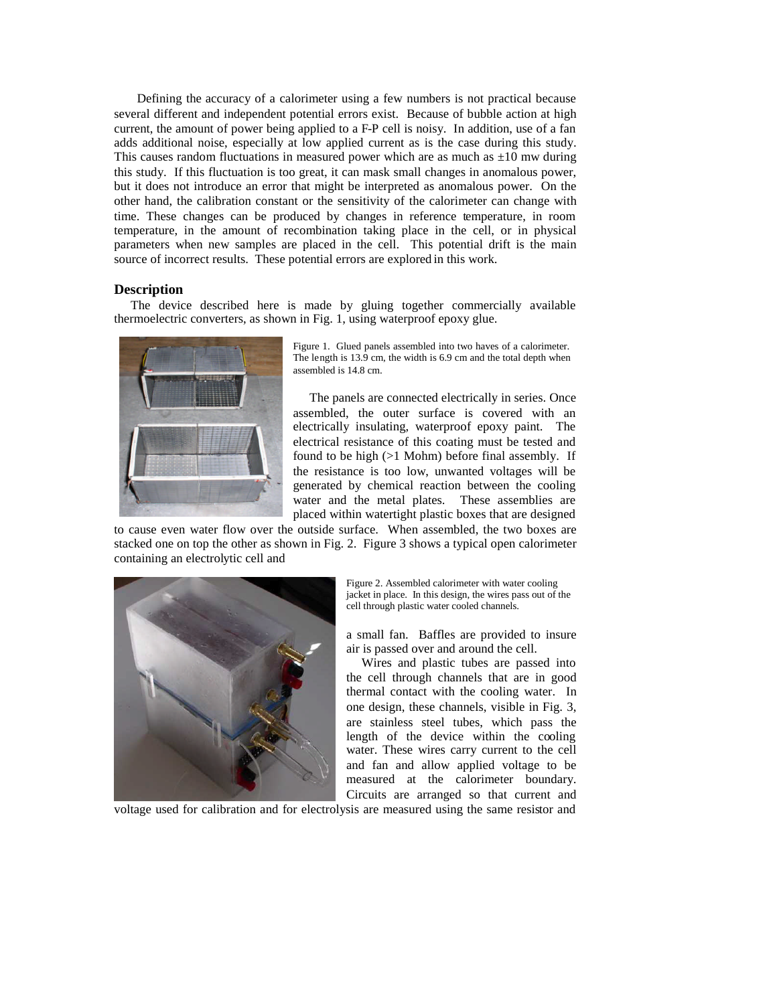Defining the accuracy of a calorimeter using a few numbers is not practical because several different and independent potential errors exist. Because of bubble action at high current, the amount of power being applied to a F-P cell is noisy. In addition, use of a fan adds additional noise, especially at low applied current as is the case during this study. This causes random fluctuations in measured power which are as much as  $\pm 10$  mw during this study. If this fluctuation is too great, it can mask small changes in anomalous power, but it does not introduce an error that might be interpreted as anomalous power. On the other hand, the calibration constant or the sensitivity of the calorimeter can change with time. These changes can be produced by changes in reference temperature, in room temperature, in the amount of recombination taking place in the cell, or in physical parameters when new samples are placed in the cell. This potential drift is the main source of incorrect results. These potential errors are explored in this work.

# **Description**

The device described here is made by gluing together commercially available thermoelectric converters, as shown in Fig. 1, using waterproof epoxy glue.



Figure 1. Glued panels assembled into two haves of a calorimeter. The length is 13.9 cm, the width is 6.9 cm and the total depth when assembled is 14.8 cm.

The panels are connected electrically in series. Once assembled, the outer surface is covered with an electrically insulating, waterproof epoxy paint. The electrical resistance of this coating must be tested and found to be high (>1 Mohm) before final assembly. If the resistance is too low, unwanted voltages will be generated by chemical reaction between the cooling water and the metal plates. These assemblies are placed within watertight plastic boxes that are designed

to cause even water flow over the outside surface. When assembled, the two boxes are stacked one on top the other as shown in Fig. 2. Figure 3 shows a typical open calorimeter containing an electrolytic cell and



Figure 2. Assembled calorimeter with water cooling jacket in place. In this design, the wires pass out of the cell through plastic water cooled channels.

a small fan. Baffles are provided to insure air is passed over and around the cell.

Wires and plastic tubes are passed into the cell through channels that are in good thermal contact with the cooling water. In one design, these channels, visible in Fig. 3, are stainless steel tubes, which pass the length of the device within the cooling water. These wires carry current to the cell and fan and allow applied voltage to be measured at the calorimeter boundary. Circuits are arranged so that current and

voltage used for calibration and for electrolysis are measured using the same resistor and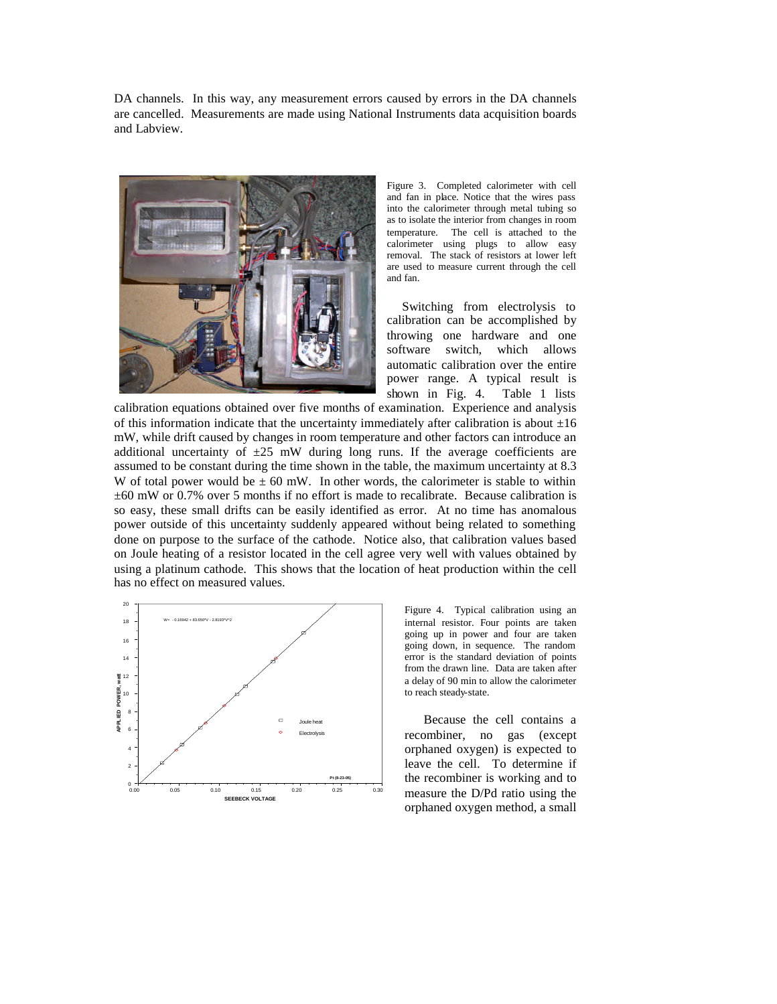DA channels. In this way, any measurement errors caused by errors in the DA channels are cancelled. Measurements are made using National Instruments data acquisition boards and Labview.



Figure 3. Completed calorimeter with cell and fan in place. Notice that the wires pass into the calorimeter through metal tubing so as to isolate the interior from changes in room temperature. The cell is attached to the calorimeter using plugs to allow easy removal. The stack of resistors at lower left are used to measure current through the cell and fan.

Switching from electrolysis to calibration can be accomplished by throwing one hardware and one software switch, which allows automatic calibration over the entire power range. A typical result is shown in Fig. 4. Table 1 lists

calibration equations obtained over five months of examination. Experience and analysis of this information indicate that the uncertainty immediately after calibration is about  $\pm 16$ mW, while drift caused by changes in room temperature and other factors can introduce an additional uncertainty of  $\pm 25$  mW during long runs. If the average coefficients are assumed to be constant during the time shown in the table, the maximum uncertainty at 8.3 W of total power would be  $\pm 60$  mW. In other words, the calorimeter is stable to within  $\pm 60$  mW or 0.7% over 5 months if no effort is made to recalibrate. Because calibration is so easy, these small drifts can be easily identified as error. At no time has anomalous power outside of this uncertainty suddenly appeared without being related to something done on purpose to the surface of the cathode. Notice also, that calibration values based on Joule heating of a resistor located in the cell agree very well with values obtained by using a platinum cathode. This shows that the location of heat production within the cell has no effect on measured values.



Figure 4. Typical calibration using an internal resistor. Four points are taken going up in power and four are taken going down, in sequence. The random error is the standard deviation of points from the drawn line. Data are taken after a delay of 90 min to allow the calorimeter to reach steady-state.

Because the cell contains a recombiner, no gas (except orphaned oxygen) is expected to leave the cell. To determine if the recombiner is working and to measure the D/Pd ratio using the orphaned oxygen method, a small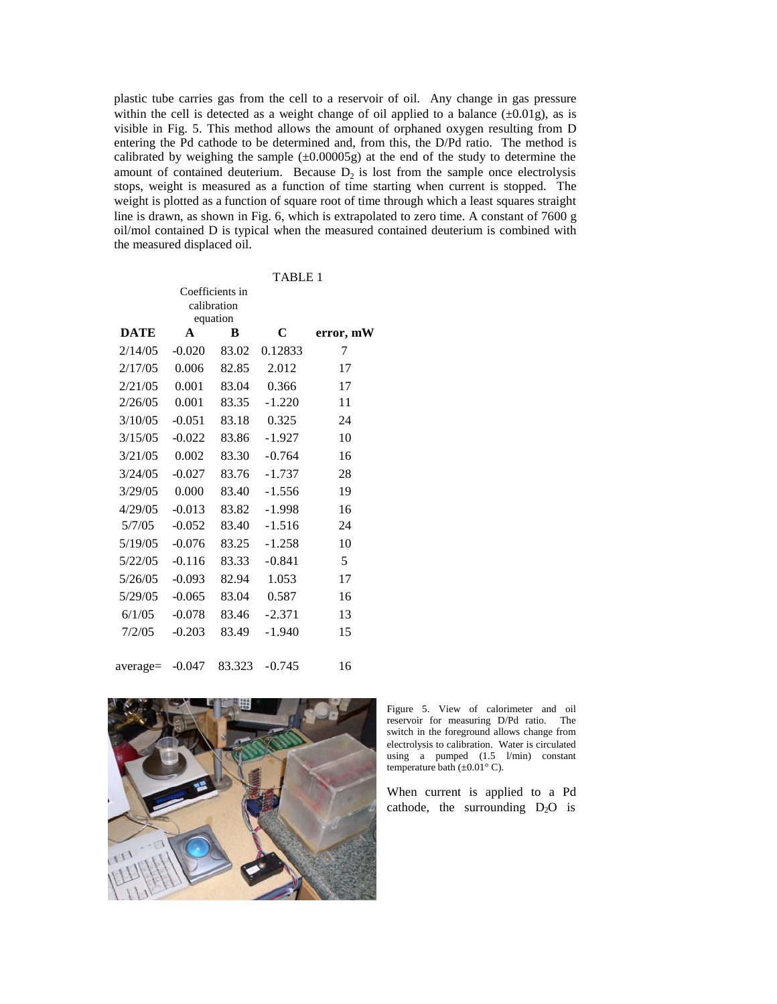plastic tube carries gas from the cell to a reservoir of oil. Any change in gas pressure within the cell is detected as a weight change of oil applied to a balance  $(\pm 0.01g)$ , as is visible in Fig. 5. This method allows the amount of orphaned oxygen resulting from D entering the Pd cathode to be determined and, from this, the D/Pd ratio. The method is calibrated by weighing the sample  $(\pm 0.00005g)$  at the end of the study to determine the amount of contained deuterium. Because  $D_2$  is lost from the sample once electrolysis stops, weight is measured as a function of time starting when current is stopped. The weight is plotted as a function of square root of time through which a least squares straight line is drawn, as shown in Fig. 6, which is extrapolated to zero time. A constant of 7600 g oil/mol contained D is typical when the measured contained deuterium is combined with the measured displaced oil.

|             |          | <b>TABLE 1</b>                             |          |           |
|-------------|----------|--------------------------------------------|----------|-----------|
|             |          | Coefficients in<br>calibration<br>equation |          |           |
| <b>DATE</b> | A        | B                                          | C        | error, mW |
| 2/14/05     | $-0.020$ | 83.02                                      | 0.12833  | 7         |
| 2/17/05     | 0.006    | 82.85                                      | 2.012    | 17        |
| 2/21/05     | 0.001    | 83.04                                      | 0.366    | 17        |
| 2/26/05     | 0.001    | 83.35                                      | $-1.220$ | 11        |
| 3/10/05     | $-0.051$ | 83.18                                      | 0.325    | 24        |
| 3/15/05     | $-0.022$ | 83.86                                      | $-1.927$ | 10        |
| 3/21/05     | 0.002    | 83.30                                      | $-0.764$ | 16        |
| 3/24/05     | $-0.027$ | 83.76                                      | $-1.737$ | 28        |
| 3/29/05     | 0.000    | 83.40                                      | $-1.556$ | 19        |
| 4/29/05     | $-0.013$ | 83.82                                      | $-1.998$ | 16        |
| 5/7/05      | $-0.052$ | 83.40                                      | $-1.516$ | 24        |
| 5/19/05     | $-0.076$ | 83.25                                      | $-1.258$ | 10        |
| 5/22/05     | $-0.116$ | 83.33                                      | $-0.841$ | 5         |
| 5/26/05     | $-0.093$ | 82.94                                      | 1.053    | 17        |
| 5/29/05     | $-0.065$ | 83.04                                      | 0.587    | 16        |
| 6/1/05      | $-0.078$ | 83.46                                      | $-2.371$ | 13        |
| 7/2/05      | $-0.203$ | 83.49                                      | $-1.940$ | 15        |
| average=    | $-0.047$ | 83.323                                     | $-0.745$ | 16        |



Figure 5. View of calorimeter and oil reservoir for measuring D/Pd ratio. The switch in the foreground allows change from electrolysis to calibration. Water is circulated using a pumped (1.5 l/min) constant temperature bath (±0.01° C).

When current is applied to a Pd cathode, the surrounding  $D_2O$  is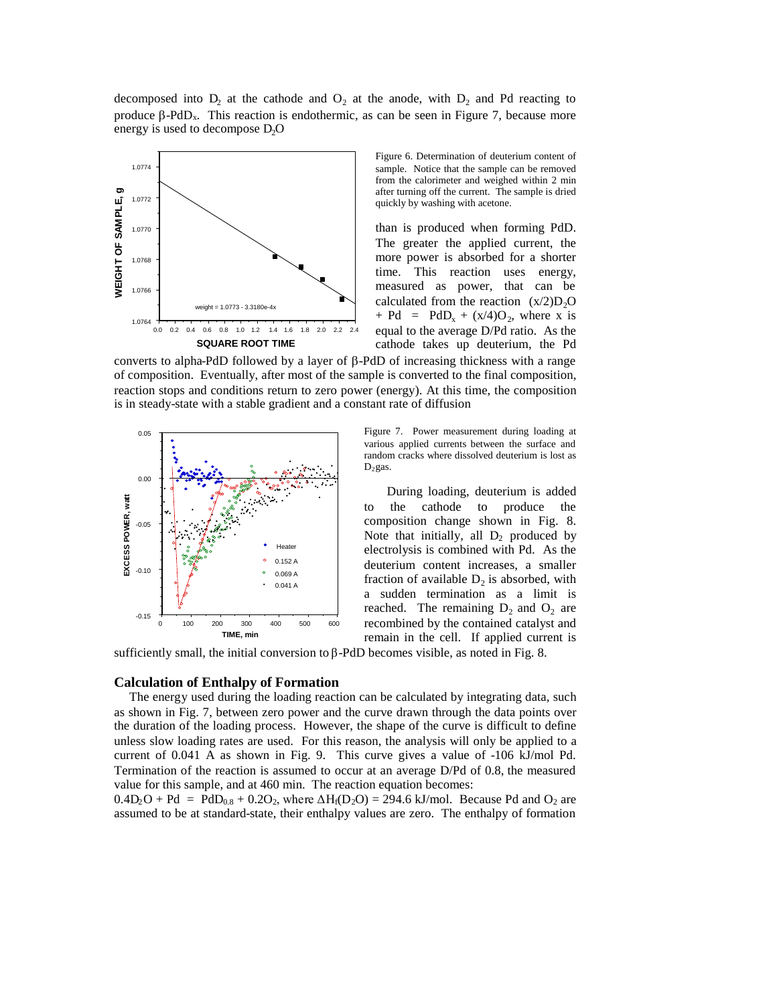decomposed into  $D_2$  at the cathode and  $O_2$  at the anode, with  $D_2$  and Pd reacting to produce  $\beta$ -PdD<sub>x</sub>. This reaction is endothermic, as can be seen in Figure 7, because more energy is used to decompose  $D_2O$ 



Figure 6. Determination of deuterium content of sample. Notice that the sample can be removed from the calorimeter and weighed within 2 min after turning off the current. The sample is dried quickly by washing with acetone.

than is produced when forming PdD. The greater the applied current, the more power is absorbed for a shorter time. This reaction uses energy, measured as power, that can be calculated from the reaction  $(x/2)D_2O$ + Pd = PdD<sub>x</sub> +  $(x/4)O_2$ , where x is equal to the average D/Pd ratio. As the cathode takes up deuterium, the Pd

converts to alpha-PdD followed by a layer of  $\beta$ -PdD of increasing thickness with a range of composition. Eventually, after most of the sample is converted to the final composition, reaction stops and conditions return to zero power (energy). At this time, the composition is in steady-state with a stable gradient and a constant rate of diffusion



Figure 7. Power measurement during loading at various applied currents between the surface and random cracks where dissolved deuterium is lost as  $D_2$ gas.

During loading, deuterium is added to the cathode to produce the composition change shown in Fig. 8. Note that initially, all  $D_2$  produced by electrolysis is combined with Pd. As the deuterium content increases, a smaller fraction of available  $D_2$  is absorbed, with a sudden termination as a limit is reached. The remaining  $D_2$  and  $O_2$  are recombined by the contained catalyst and remain in the cell. If applied current is

sufficiently small, the initial conversion to  $\beta$ -PdD becomes visible, as noted in Fig. 8.

# **Calculation of Enthalpy of Formation**

The energy used during the loading reaction can be calculated by integrating data, such as shown in Fig. 7, between zero power and the curve drawn through the data points over the duration of the loading process. However, the shape of the curve is difficult to define unless slow loading rates are used. For this reason, the analysis will only be applied to a current of 0.041 A as shown in Fig. 9. This curve gives a value of -106 kJ/mol Pd. Termination of the reaction is assumed to occur at an average D/Pd of 0.8, the measured value for this sample, and at 460 min. The reaction equation becomes:

 $0.4D_2O + Pd = PdD_{0.8} + 0.2O_2$ , where  $\Delta H_f(D_2O) = 294.6$  kJ/mol. Because Pd and  $O_2$  are assumed to be at standard-state, their enthalpy values are zero. The enthalpy of formation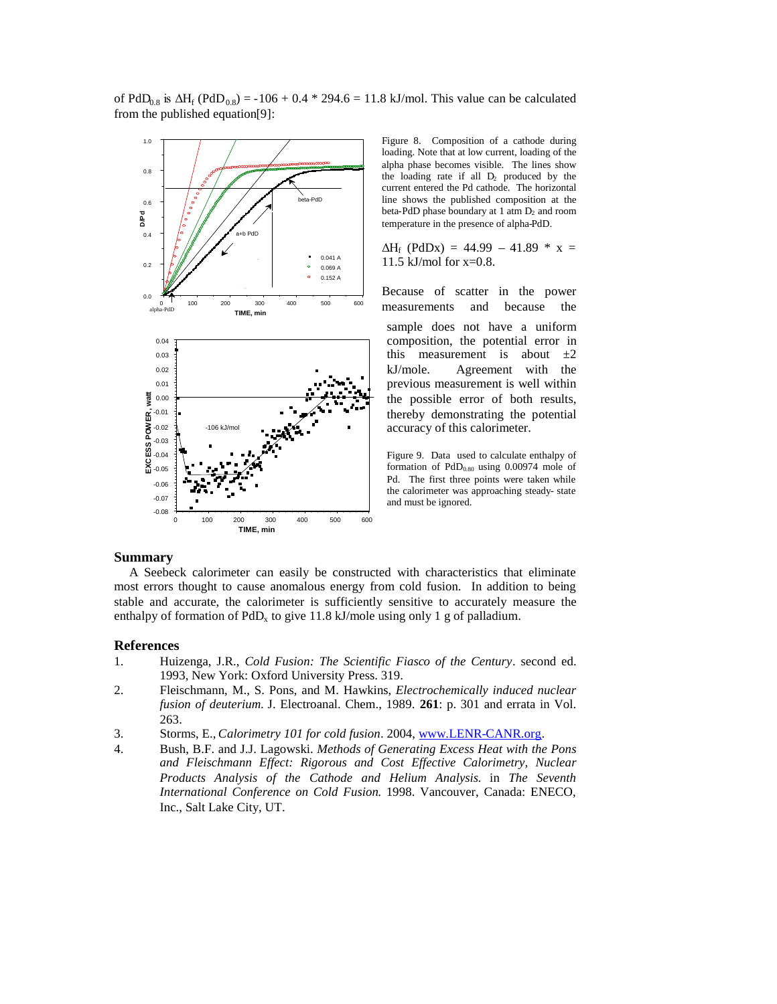

Figure 8. Composition of a cathode during loading. Note that at low current, loading of the alpha phase becomes visible. The lines show the loading rate if all  $D_2$  produced by the current entered the Pd cathode. The horizontal line shows the published composition at the beta-PdD phase boundary at 1 atm D<sub>2</sub> and room

> $\Delta H_f$  (PdDx) = 44.99 – 41.89 \* x = 11.5 kJ/mol for x=0.8.

temperature in the presence of alpha-PdD.

Because of scatter in the power measurements and because the sample does not have a uniform

composition, the potential error in this measurement is about  $\pm 2$ kJ/mole. Agreement with the previous measurement is well within the possible error of both results, thereby demonstrating the potential accuracy of this calorimeter.

Figure 9. Data used to calculate enthalpy of formation of  $PdD_{0.80}$  using 0.00974 mole of Pd. The first three points were taken while the calorimeter was approaching steady- state and must be ignored.

#### **Summary**

A Seebeck calorimeter can easily be constructed with characteristics that eliminate most errors thought to cause anomalous energy from cold fusion. In addition to being stable and accurate, the calorimeter is sufficiently sensitive to accurately measure the enthalpy of formation of  $PdD_x$  to give 11.8 kJ/mole using only 1 g of palladium.

### **References**

- 1. Huizenga, J.R., *Cold Fusion: The Scientific Fiasco of the Century*. second ed. 1993, New York: Oxford University Press. 319.
- 2. Fleischmann, M., S. Pons, and M. Hawkins, *Electrochemically induced nuclear fusion of deuterium.* J. Electroanal. Chem., 1989. **261**: p. 301 and errata in Vol. 263.
- 3. Storms, E.,*Calorimetry 101 for cold fusion*. 2004, [www.LENR-CANR.org.](http://www.LENR-CANR.org/)
- 4. Bush, B.F. and J.J. Lagowski. *Methods of Generating Excess Heat with the Pons and Fleischmann Effect: Rigorous and Cost Effective Calorimetry, Nuclear Products Analysis of the Cathode and Helium Analysis.* in *The Seventh International Conference on Cold Fusion*. 1998. Vancouver, Canada: ENECO, Inc., Salt Lake City, UT.